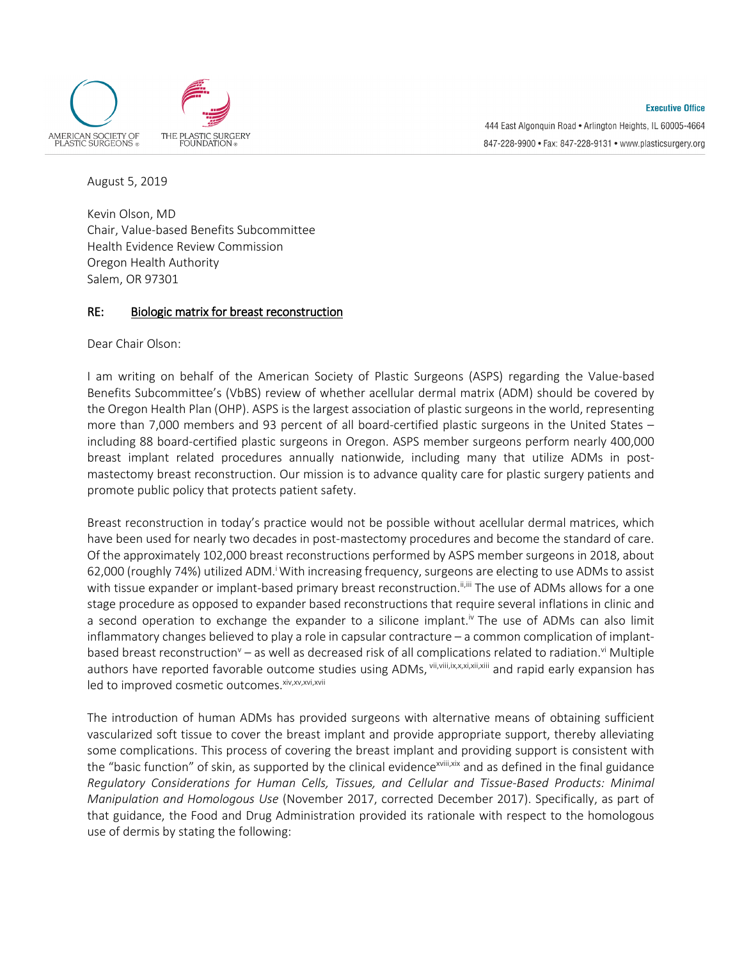

August 5, 2019

Kevin Olson, MD Chair, Value-based Benefits Subcommittee Health Evidence Review Commission Oregon Health Authority Salem, OR 97301

## RE: Biologic matrix for breast reconstruction

Dear Chair Olson:

I am writing on behalf of the American Society of Plastic Surgeons (ASPS) regarding the Value-based Benefits Subcommittee's (VbBS) review of whether acellular dermal matrix (ADM) should be covered by the Oregon Health Plan (OHP). ASPS is the largest association of plastic surgeons in the world, representing more than 7,000 members and 93 percent of all board-certified plastic surgeons in the United States – including 88 board-certified plastic surgeons in Oregon. ASPS member surgeons perform nearly 400,000 breast implant related procedures annually nationwide, including many that utilize ADMs in postmastectomy breast reconstruction. Our mission is to advance quality care for plastic surgery patients and promote public policy that protects patient safety.

Breast reconstruction in today's practice would not be possible without acellular dermal matrices, which have been used for nearly two decades in post-mastectomy procedures and become the standard of care. Of the approximately 102,000 breast reconstructions performed by ASPS member surgeons in 2018, about 62,000 (roughly 74%) utilized ADM.<sup>i</sup> With increasing frequency, surgeons are electing to use ADMs to assist with tissue expander or implant-based primary breast reconstruction.<sup>ii,iii</sup> The use of ADMs allows for a one stage procedure as opposed to expander based reconstructions that require several inflations in clinic and a second operation to exchange the expander to a silicone implant.<sup>IV</sup> The use of ADMs can also limit inflammatory changes believed to play a role in capsular contracture – a common complication of implantbased breast reconstruction<sup>v</sup> – as well as decreased risk of all complications related to radiation.<sup>vi</sup> Multiple authors have reported favorable outcome studies using ADMs, vii, vii, ix, xxi, xii, xiii and rapid early expansion has led to improved cosmetic outcomes. xiv,xv,xvi,xvii

The introduction of human ADMs has provided surgeons with alternative means of obtaining sufficient vascularized soft tissue to cover the breast implant and provide appropriate support, thereby alleviating some complications. This process of covering the breast implant and providing support is consistent with the "basic function" of skin, as supported by the clinical evidence<sup>xviii,xix</sup> and as defined in the final guidance *Regulatory Considerations for Human Cells, Tissues, and Cellular and Tissue-Based Products: Minimal Manipulation and Homologous Use* (November 2017, corrected December 2017). Specifically, as part of that guidance, the Food and Drug Administration provided its rationale with respect to the homologous use of dermis by stating the following: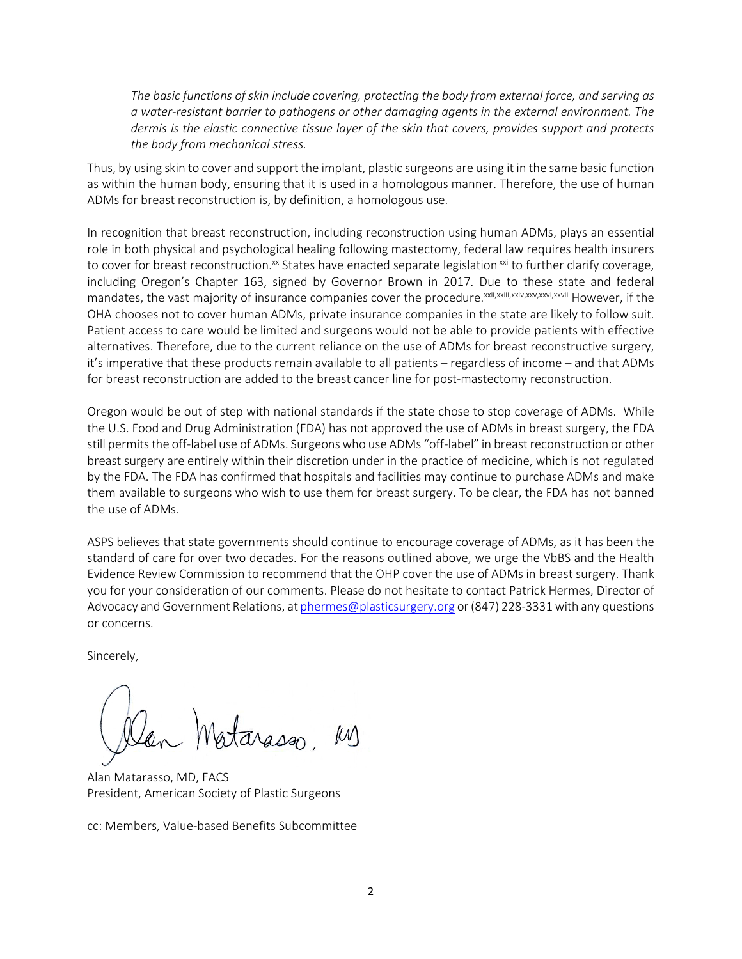*The basic functions of skin include covering, protecting the body from external force, and serving as a water-resistant barrier to pathogens or other damaging agents in the external environment. The dermis is the elastic connective tissue layer of the skin that covers, provides support and protects the body from mechanical stress.*

Thus, by using skin to cover and support the implant, plastic surgeons are using it in the same basic function as within the human body, ensuring that it is used in a homologous manner. Therefore, the use of human ADMs for breast reconstruction is, by definition, a homologous use.

In recognition that breast reconstruction, including reconstruction using human ADMs, plays an essential role in both physical and psychological healing following mastectomy, federal law requires health insurers to cover for breast reconstruction.<sup>xx</sup> States have enacted separate legislation<sup>xxi</sup> to further clarify coverage, including Oregon's Chapter 163, signed by Governor Brown in 2017. Due to these state and federal mandates, the vast majority of insurance companies cover the procedure. Xxii,xxii,xxiv,xxv,xxvi,xxvii However, if the OHA chooses not to cover human ADMs, private insurance companies in the state are likely to follow suit. Patient access to care would be limited and surgeons would not be able to provide patients with effective alternatives. Therefore, due to the current reliance on the use of ADMs for breast reconstructive surgery, it's imperative that these products remain available to all patients – regardless of income – and that ADMs for breast reconstruction are added to the breast cancer line for post-mastectomy reconstruction.

Oregon would be out of step with national standards if the state chose to stop coverage of ADMs. While the U.S. Food and Drug Administration (FDA) has not approved the use of ADMs in breast surgery, the FDA still permits the off-label use of ADMs. Surgeons who use ADMs "off-label" in breast reconstruction or other breast surgery are entirely within their discretion under in the practice of medicine, which is not regulated by the FDA. The FDA has confirmed that hospitals and facilities may continue to purchase ADMs and make them available to surgeons who wish to use them for breast surgery. To be clear, the FDA has not banned the use of ADMs.

ASPS believes that state governments should continue to encourage coverage of ADMs, as it has been the standard of care for over two decades. For the reasons outlined above, we urge the VbBS and the Health Evidence Review Commission to recommend that the OHP cover the use of ADMs in breast surgery. Thank you for your consideration of our comments. Please do not hesitate to contact Patrick Hermes, Director of Advocacy and Government Relations, a[t phermes@plasticsurgery.org](mailto:phermes@plasticsurgery.org) or (847) 228-3331 with any questions or concerns.

Sincerely,

arasson

Alan Matarasso, MD, FACS President, American Society of Plastic Surgeons

cc: Members, Value-based Benefits Subcommittee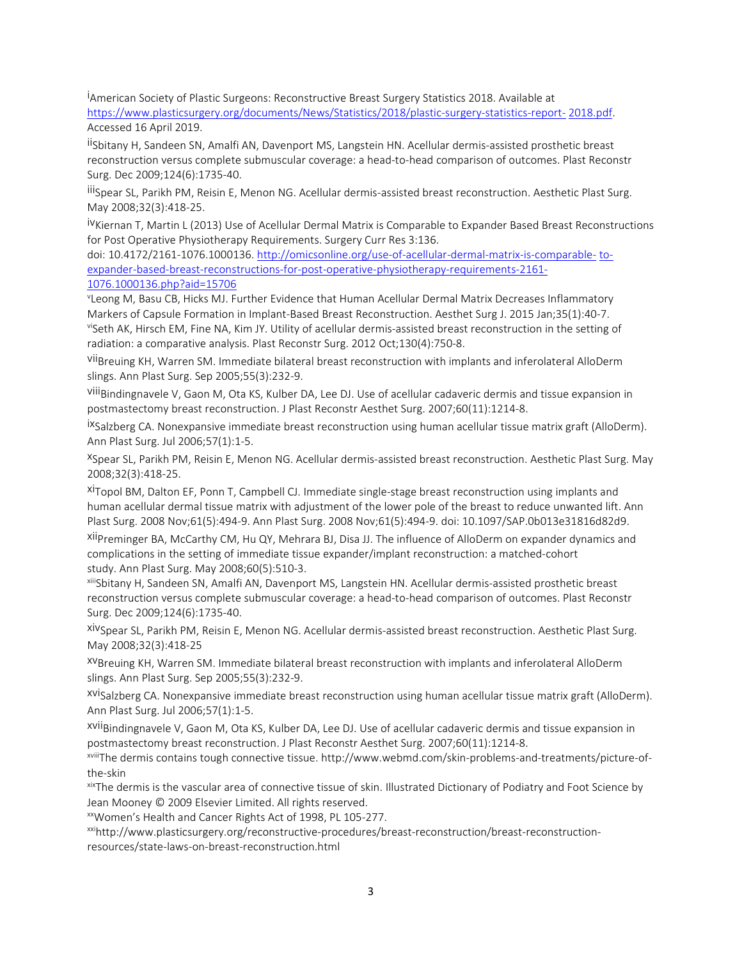i American Society of Plastic Surgeons: Reconstructive Breast Surgery Statistics 2018. Available at [https://www.plasticsurgery.org/documents/News/Statistics/2018/plastic-surgery-statistics-report-](https://www.plasticsurgery.org/documents/News/Statistics/2018/plastic-surgery-statistics-report-2018.pdf) [2018.pdf.](https://www.plasticsurgery.org/documents/News/Statistics/2018/plastic-surgery-statistics-report-2018.pdf) Accessed 16 April 2019.

ii Sbitany H, Sandeen SN, Amalfi AN, Davenport MS, Langstein HN. Acellular dermis-assisted prosthetic breast reconstruction versus complete submuscular coverage: a head-to-head comparison of outcomes. Plast Reconstr Surg. Dec 2009;124(6):1735-40.

iii Spear SL, Parikh PM, Reisin E, Menon NG. Acellular dermis-assisted breast reconstruction. Aesthetic Plast Surg. May 2008;32(3):418-25.

ivKiernan T, Martin L (2013) Use of Acellular Dermal Matrix is Comparable to Expander Based Breast Reconstructions for Post Operative Physiotherapy Requirements. Surgery Curr Res 3:136.

doi: 10.4172/2161-1076.1000136. [http://omicsonline.org/use-of-acellular-dermal-matrix-is-comparable-](http://omicsonline.org/use-of-acellular-dermal-matrix-is-comparable-to-expander-based-breast-reconstructions-for-post-operative-physiotherapy-requirements-2161-1076.1000136.php?aid=15706) [to](http://omicsonline.org/use-of-acellular-dermal-matrix-is-comparable-to-expander-based-breast-reconstructions-for-post-operative-physiotherapy-requirements-2161-1076.1000136.php?aid=15706)[expander-based-breast-reconstructions-for-post-operative-physiotherapy-requirements-2161-](http://omicsonline.org/use-of-acellular-dermal-matrix-is-comparable-to-expander-based-breast-reconstructions-for-post-operative-physiotherapy-requirements-2161-1076.1000136.php?aid=15706) [1076.1000136.php?aid=15706](http://omicsonline.org/use-of-acellular-dermal-matrix-is-comparable-to-expander-based-breast-reconstructions-for-post-operative-physiotherapy-requirements-2161-1076.1000136.php?aid=15706)

v Leong M, Basu CB, Hicks MJ. Further Evidence that Human Acellular Dermal Matrix Decreases Inflammatory Markers of Capsule Formation in Implant-Based Breast Reconstruction. Aesthet Surg J. 2015 Jan;35(1):40-7. viSeth AK, Hirsch EM, Fine NA, Kim JY. Utility of acellular dermis-assisted breast reconstruction in the setting of radiation: a comparative analysis. Plast Reconstr Surg. 2012 Oct;130(4):750-8.

viiBreuing KH, Warren SM. Immediate bilateral breast reconstruction with implants and inferolateral AlloDerm slings. Ann Plast Surg. Sep 2005;55(3):232-9.

viiiBindingnavele V, Gaon M, Ota KS, Kulber DA, Lee DJ. Use of acellular cadaveric dermis and tissue expansion in postmastectomy breast reconstruction. J Plast Reconstr Aesthet Surg. 2007;60(11):1214-8.

ixSalzberg CA. Nonexpansive immediate breast reconstruction using human acellular tissue matrix graft (AlloDerm). Ann Plast Surg. Jul 2006;57(1):1-5.

xSpear SL, Parikh PM, Reisin E, Menon NG. Acellular dermis-assisted breast reconstruction. Aesthetic Plast Surg. May 2008;32(3):418-25.

xiTopol BM, Dalton EF, Ponn T, Campbell CJ. Immediate single-stage breast reconstruction using implants and human acellular dermal tissue matrix with adjustment of the lower pole of the breast to reduce unwanted lift. Ann Plast Surg. 2008 Nov;61(5):494-9. Ann Plast Surg. 2008 Nov;61(5):494-9. doi: 10.1097/SAP.0b013e31816d82d9.

xiiPreminger BA, McCarthy CM, Hu QY, Mehrara BJ, Disa JJ. The influence of AlloDerm on expander dynamics and complications in the setting of immediate tissue expander/implant reconstruction: a matched-cohort study. Ann Plast Surg. May 2008;60(5):510-3.

xiiiSbitany H, Sandeen SN, Amalfi AN, Davenport MS, Langstein HN. Acellular dermis-assisted prosthetic breast reconstruction versus complete submuscular coverage: a head-to-head comparison of outcomes. Plast Reconstr Surg. Dec 2009;124(6):1735-40.

xivSpear SL, Parikh PM, Reisin E, Menon NG. Acellular dermis-assisted breast reconstruction. Aesthetic Plast Surg. May 2008;32(3):418-25

xvBreuing KH, Warren SM. Immediate bilateral breast reconstruction with implants and inferolateral AlloDerm slings. Ann Plast Surg. Sep 2005;55(3):232-9.

xviSalzberg CA. Nonexpansive immediate breast reconstruction using human acellular tissue matrix graft (AlloDerm). Ann Plast Surg. Jul 2006;57(1):1-5.

xviiBindingnavele V, Gaon M, Ota KS, Kulber DA, Lee DJ. Use of acellular cadaveric dermis and tissue expansion in postmastectomy breast reconstruction. J Plast Reconstr Aesthet Surg. 2007;60(11):1214-8.

xviiiThe dermis contains tough connective tissue. http://www.webmd.com/skin-problems-and-treatments/picture-ofthe-skin

xixThe dermis is the vascular area of connective tissue of skin. Illustrated Dictionary of Podiatry and Foot Science by Jean Mooney © 2009 Elsevier Limited. All rights reserved.

xxWomen's Health and Cancer Rights Act of 1998, PL 105-277.

xxihttp://www.plasticsurgery.org/reconstructive-procedures/breast-reconstruction/breast-reconstructionresources/state-laws-on-breast-reconstruction.html